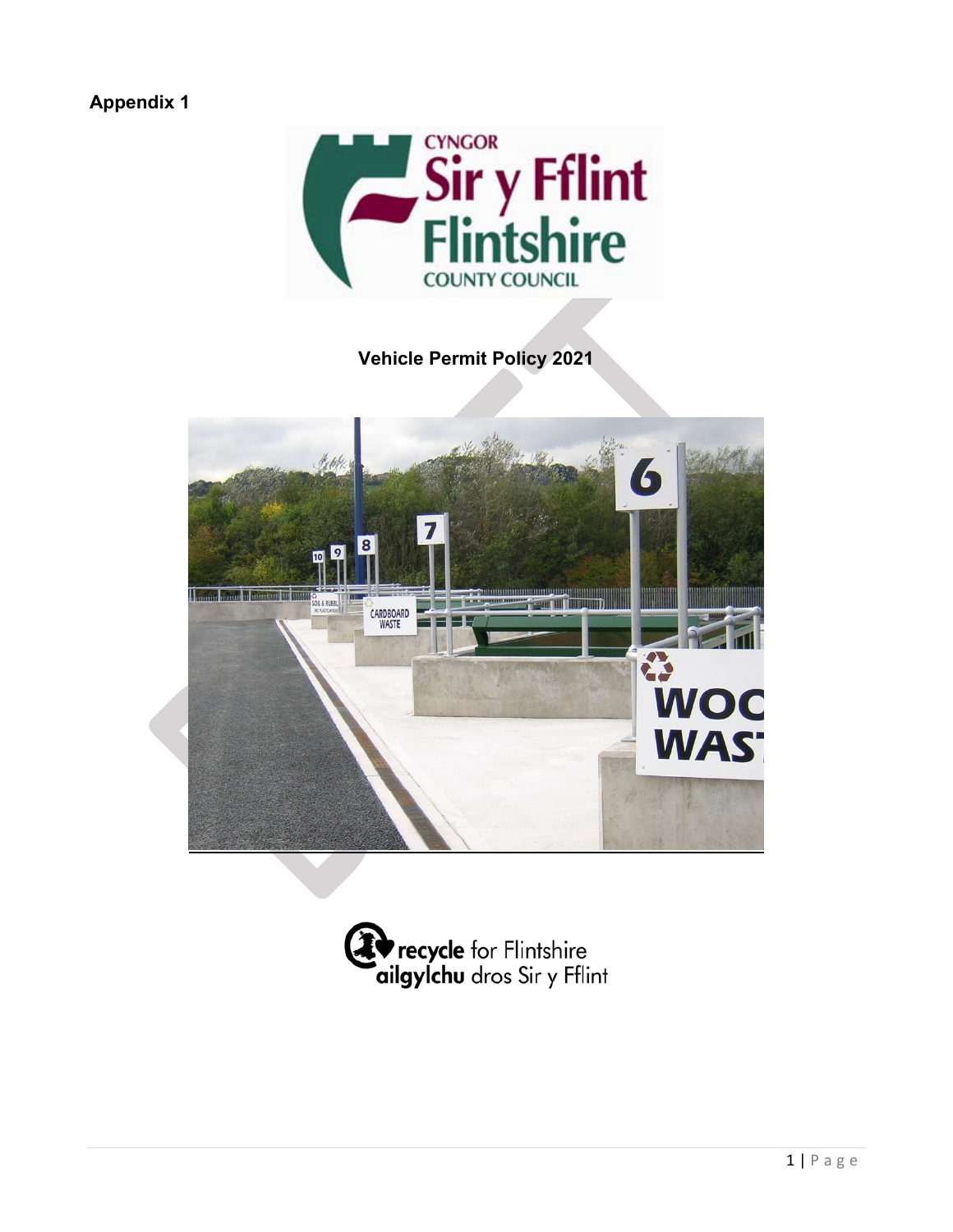# **Appendix 1**



# **Vehicle Permit Policy 2021**



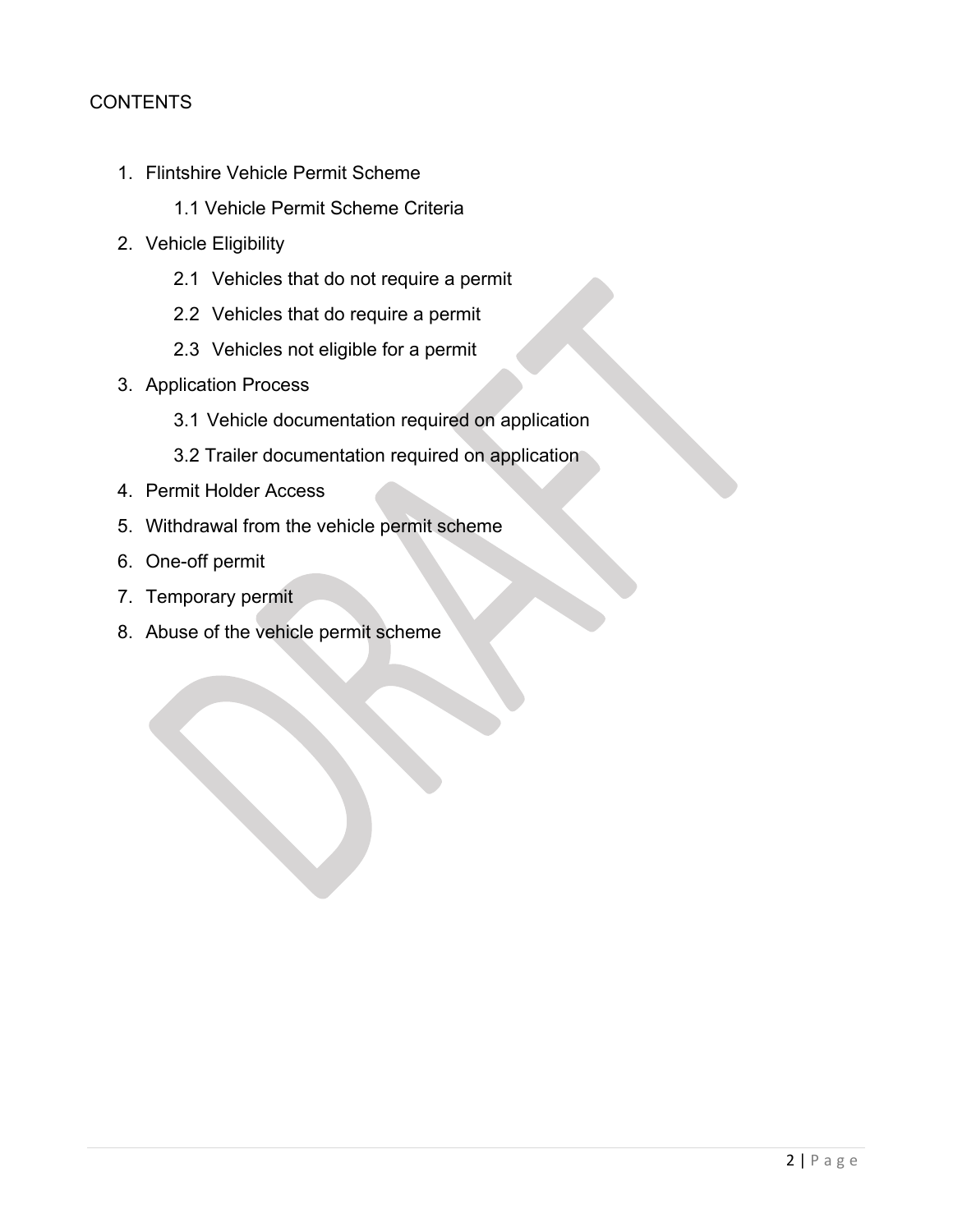### **CONTENTS**

- 1. Flintshire Vehicle Permit Scheme
	- 1.1 Vehicle Permit Scheme Criteria
- 2. Vehicle Eligibility
	- 2.1 Vehicles that do not require a permit
	- 2.2 Vehicles that do require a permit
	- 2.3 Vehicles not eligible for a permit
- 3. Application Process
	- 3.1 Vehicle documentation required on application
	- 3.2 Trailer documentation required on application
- 4. Permit Holder Access
- 5. Withdrawal from the vehicle permit scheme
- 6. One-off permit
- 7. Temporary permit
- 8. Abuse of the vehicle permit scheme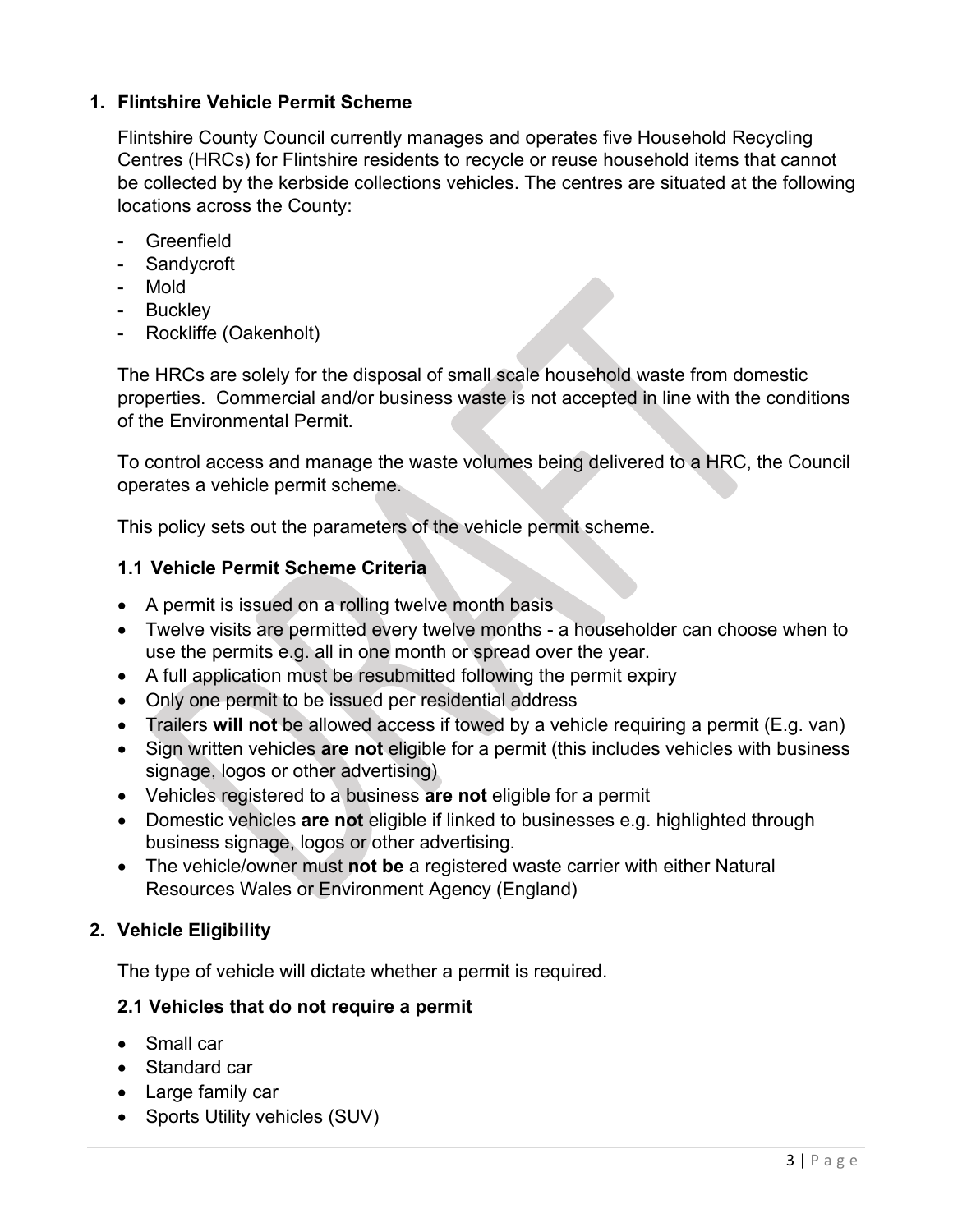## **1. Flintshire Vehicle Permit Scheme**

Flintshire County Council currently manages and operates five Household Recycling Centres (HRCs) for Flintshire residents to recycle or reuse household items that cannot be collected by the kerbside collections vehicles. The centres are situated at the following locations across the County:

- Greenfield
- Sandycroft
- Mold
- Buckley
- Rockliffe (Oakenholt)

The HRCs are solely for the disposal of small scale household waste from domestic properties. Commercial and/or business waste is not accepted in line with the conditions of the Environmental Permit.

To control access and manage the waste volumes being delivered to a HRC, the Council operates a vehicle permit scheme.

This policy sets out the parameters of the vehicle permit scheme.

# **1.1 Vehicle Permit Scheme Criteria**

- A permit is issued on a rolling twelve month basis
- Twelve visits are permitted every twelve months a householder can choose when to use the permits e.g. all in one month or spread over the year.
- A full application must be resubmitted following the permit expiry
- Only one permit to be issued per residential address
- Trailers **will not** be allowed access if towed by a vehicle requiring a permit (E.g. van)
- Sign written vehicles **are not** eligible for a permit (this includes vehicles with business signage, logos or other advertising)
- Vehicles registered to a business **are not** eligible for a permit
- Domestic vehicles **are not** eligible if linked to businesses e.g. highlighted through business signage, logos or other advertising.
- The vehicle/owner must **not be** a registered waste carrier with either Natural Resources Wales or Environment Agency (England)

# **2. Vehicle Eligibility**

The type of vehicle will dictate whether a permit is required.

## **2.1 Vehicles that do not require a permit**

- Small car
- Standard car
- Large family car
- Sports Utility vehicles (SUV)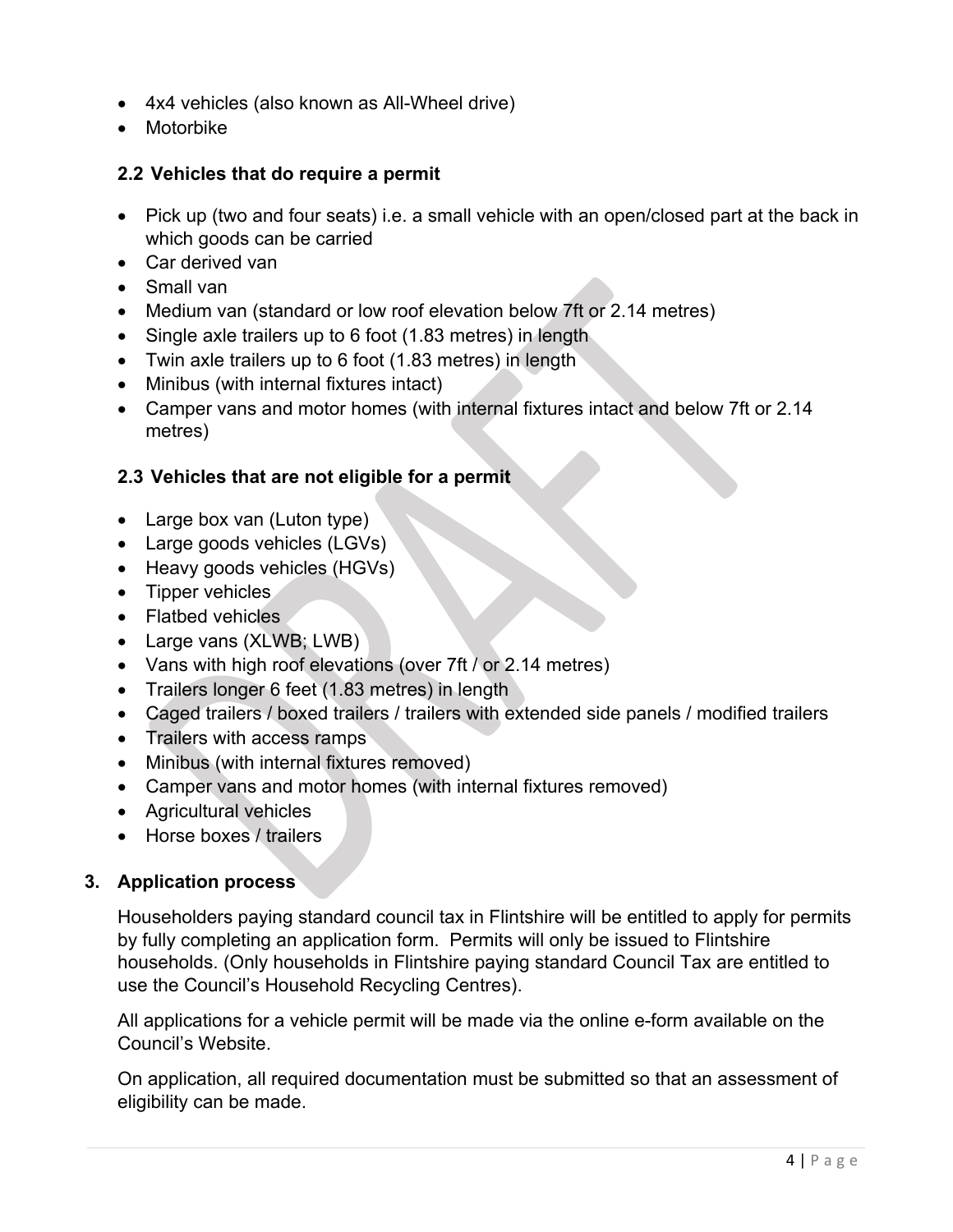- 4x4 vehicles (also known as All-Wheel drive)
- Motorbike

### **2.2 Vehicles that do require a permit**

- Pick up (two and four seats) i.e. a small vehicle with an open/closed part at the back in which goods can be carried
- Car derived van
- Small van
- Medium van (standard or low roof elevation below 7ft or 2.14 metres)
- Single axle trailers up to 6 foot (1.83 metres) in length
- Twin axle trailers up to 6 foot (1.83 metres) in length
- Minibus (with internal fixtures intact)
- Camper vans and motor homes (with internal fixtures intact and below 7ft or 2.14 metres)

### **2.3 Vehicles that are not eligible for a permit**

- Large box van (Luton type)
- Large goods vehicles (LGVs)
- Heavy goods vehicles (HGVs)
- Tipper vehicles
- Flatbed vehicles
- Large vans (XLWB; LWB)
- Vans with high roof elevations (over 7ft / or 2.14 metres)
- Trailers longer 6 feet (1.83 metres) in length
- Caged trailers / boxed trailers / trailers with extended side panels / modified trailers
- Trailers with access ramps
- Minibus (with internal fixtures removed)
- Camper vans and motor homes (with internal fixtures removed)
- Agricultural vehicles
- Horse boxes / trailers

## **3. Application process**

Householders paying standard council tax in Flintshire will be entitled to apply for permits by fully completing an application form. Permits will only be issued to Flintshire households. (Only households in Flintshire paying standard Council Tax are entitled to use the Council's Household Recycling Centres).

All applications for a vehicle permit will be made via the online e-form available on the Council's Website.

On application, all required documentation must be submitted so that an assessment of eligibility can be made.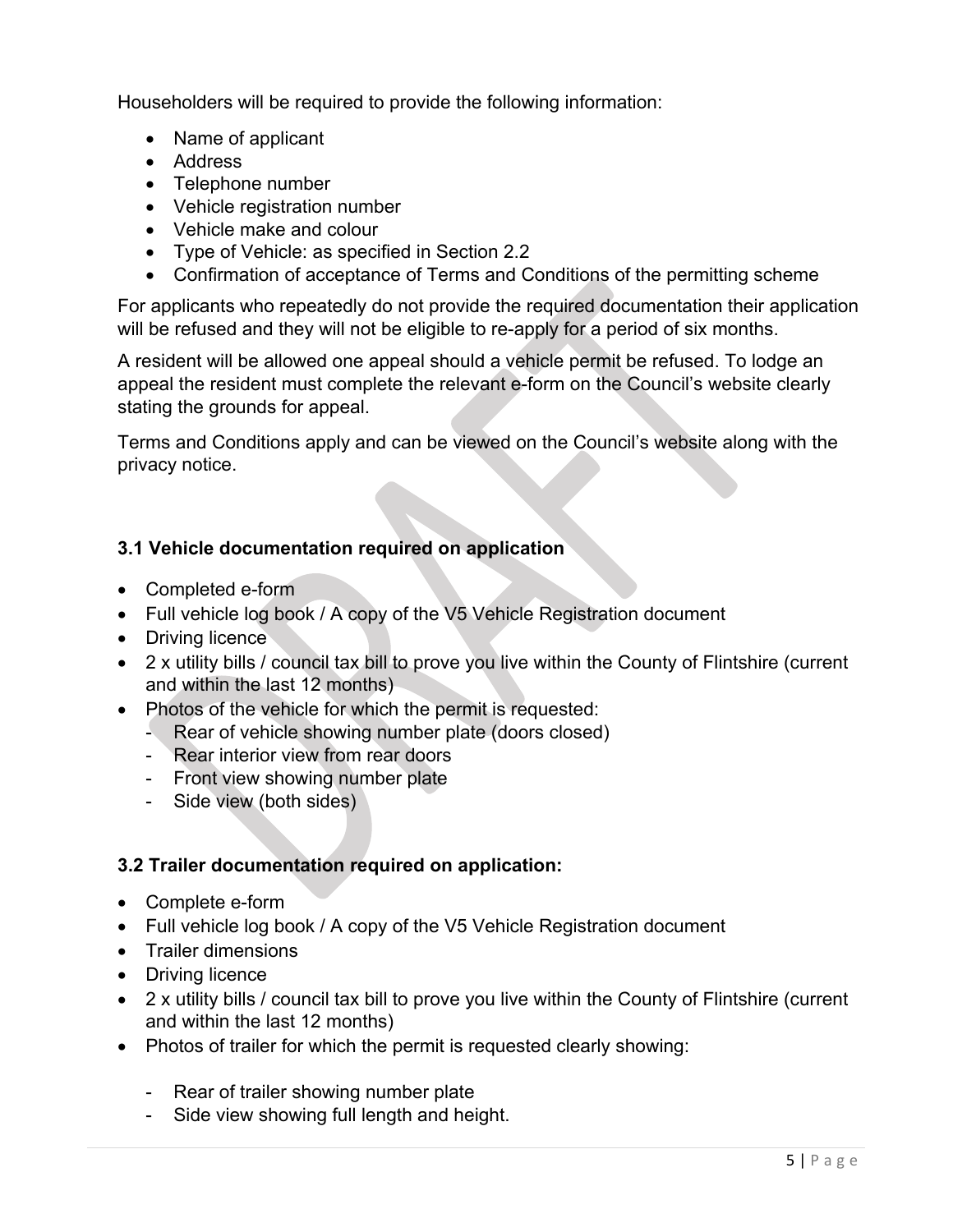Householders will be required to provide the following information:

- Name of applicant
- Address
- Telephone number
- Vehicle registration number
- Vehicle make and colour
- Type of Vehicle: as specified in Section 2.2
- Confirmation of acceptance of Terms and Conditions of the permitting scheme

For applicants who repeatedly do not provide the required documentation their application will be refused and they will not be eligible to re-apply for a period of six months.

A resident will be allowed one appeal should a vehicle permit be refused. To lodge an appeal the resident must complete the relevant e-form on the Council's website clearly stating the grounds for appeal.

Terms and Conditions apply and can be viewed on the Council's website along with the privacy notice.

### **3.1 Vehicle documentation required on application**

- Completed e-form
- Full vehicle log book / A copy of the V5 Vehicle Registration document
- Driving licence
- 2 x utility bills / council tax bill to prove you live within the County of Flintshire (current and within the last 12 months)
- Photos of the vehicle for which the permit is requested:
	- Rear of vehicle showing number plate (doors closed)
	- Rear interior view from rear doors
	- Front view showing number plate
	- Side view (both sides)

#### **3.2 Trailer documentation required on application:**

- Complete e-form
- Full vehicle log book / A copy of the V5 Vehicle Registration document
- Trailer dimensions
- Driving licence
- 2 x utility bills / council tax bill to prove you live within the County of Flintshire (current and within the last 12 months)
- Photos of trailer for which the permit is requested clearly showing:
	- Rear of trailer showing number plate
	- Side view showing full length and height.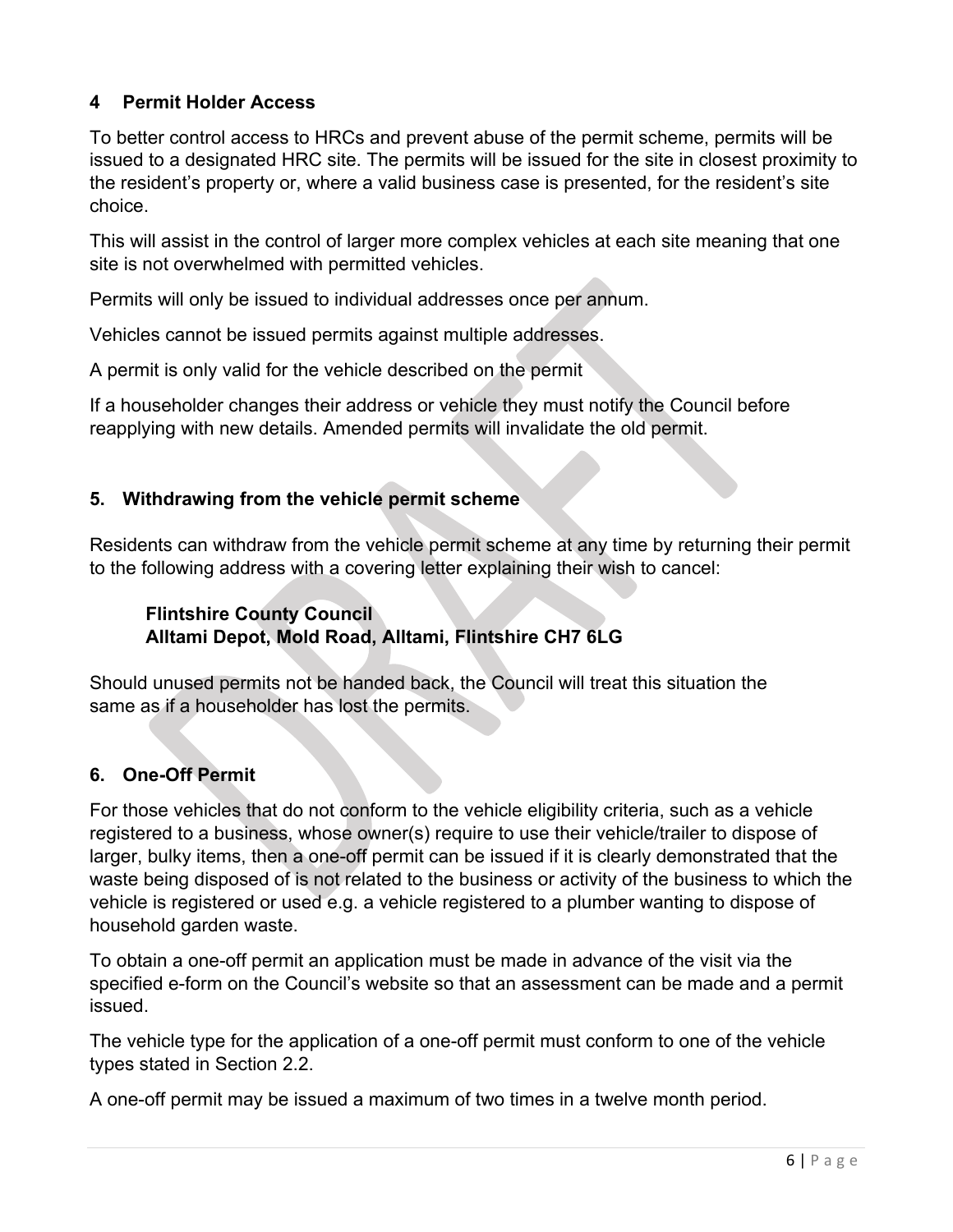# **4 Permit Holder Access**

To better control access to HRCs and prevent abuse of the permit scheme, permits will be issued to a designated HRC site. The permits will be issued for the site in closest proximity to the resident's property or, where a valid business case is presented, for the resident's site choice.

This will assist in the control of larger more complex vehicles at each site meaning that one site is not overwhelmed with permitted vehicles.

Permits will only be issued to individual addresses once per annum.

Vehicles cannot be issued permits against multiple addresses.

A permit is only valid for the vehicle described on the permit

If a householder changes their address or vehicle they must notify the Council before reapplying with new details. Amended permits will invalidate the old permit.

### **5. Withdrawing from the vehicle permit scheme**

Residents can withdraw from the vehicle permit scheme at any time by returning their permit to the following address with a covering letter explaining their wish to cancel:

#### **Flintshire County Council Alltami Depot, Mold Road, Alltami, Flintshire CH7 6LG**

Should unused permits not be handed back, the Council will treat this situation the same as if a householder has lost the permits.

## **6. One-Off Permit**

For those vehicles that do not conform to the vehicle eligibility criteria, such as a vehicle registered to a business, whose owner(s) require to use their vehicle/trailer to dispose of larger, bulky items, then a one-off permit can be issued if it is clearly demonstrated that the waste being disposed of is not related to the business or activity of the business to which the vehicle is registered or used e.g. a vehicle registered to a plumber wanting to dispose of household garden waste.

To obtain a one-off permit an application must be made in advance of the visit via the specified e-form on the Council's website so that an assessment can be made and a permit issued.

The vehicle type for the application of a one-off permit must conform to one of the vehicle types stated in Section 2.2.

A one-off permit may be issued a maximum of two times in a twelve month period.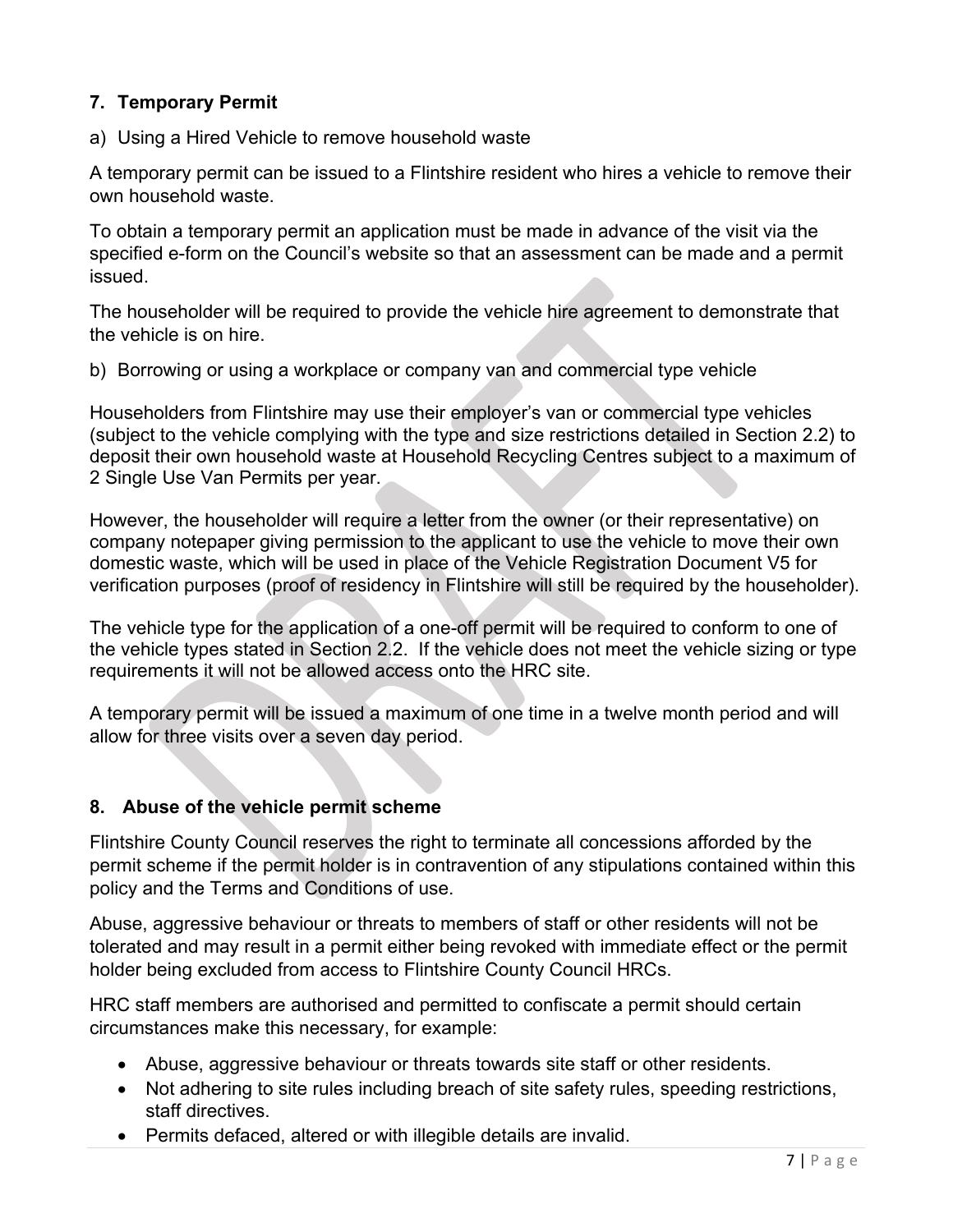## **7. Temporary Permit**

a) Using a Hired Vehicle to remove household waste

A temporary permit can be issued to a Flintshire resident who hires a vehicle to remove their own household waste.

To obtain a temporary permit an application must be made in advance of the visit via the specified e-form on the Council's website so that an assessment can be made and a permit issued.

The householder will be required to provide the vehicle hire agreement to demonstrate that the vehicle is on hire.

b) Borrowing or using a workplace or company van and commercial type vehicle

Householders from Flintshire may use their employer's van or commercial type vehicles (subject to the vehicle complying with the type and size restrictions detailed in Section 2.2) to deposit their own household waste at Household Recycling Centres subject to a maximum of 2 Single Use Van Permits per year.

However, the householder will require a letter from the owner (or their representative) on company notepaper giving permission to the applicant to use the vehicle to move their own domestic waste, which will be used in place of the Vehicle Registration Document V5 for verification purposes (proof of residency in Flintshire will still be required by the householder).

The vehicle type for the application of a one-off permit will be required to conform to one of the vehicle types stated in Section 2.2. If the vehicle does not meet the vehicle sizing or type requirements it will not be allowed access onto the HRC site.

A temporary permit will be issued a maximum of one time in a twelve month period and will allow for three visits over a seven day period.

#### **8. Abuse of the vehicle permit scheme**

Flintshire County Council reserves the right to terminate all concessions afforded by the permit scheme if the permit holder is in contravention of any stipulations contained within this policy and the Terms and Conditions of use.

Abuse, aggressive behaviour or threats to members of staff or other residents will not be tolerated and may result in a permit either being revoked with immediate effect or the permit holder being excluded from access to Flintshire County Council HRCs.

HRC staff members are authorised and permitted to confiscate a permit should certain circumstances make this necessary, for example:

- Abuse, aggressive behaviour or threats towards site staff or other residents.
- Not adhering to site rules including breach of site safety rules, speeding restrictions, staff directives.
- Permits defaced, altered or with illegible details are invalid.